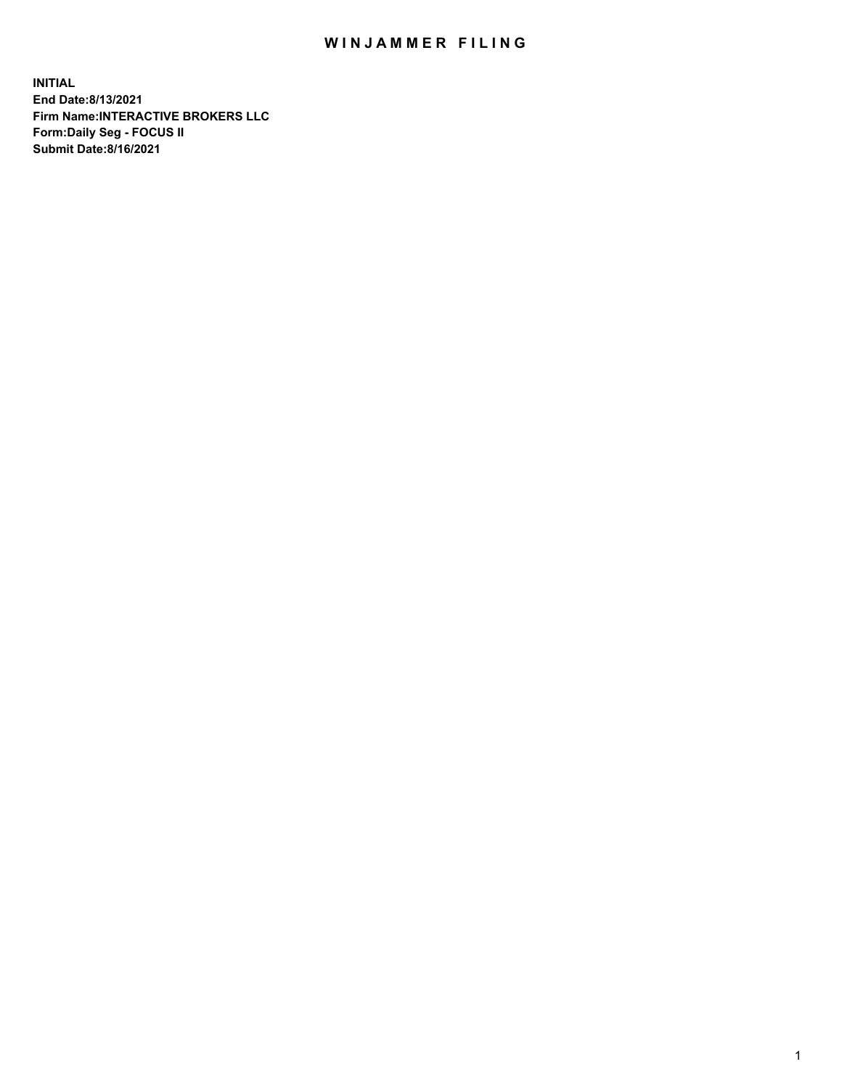## WIN JAMMER FILING

**INITIAL End Date:8/13/2021 Firm Name:INTERACTIVE BROKERS LLC Form:Daily Seg - FOCUS II Submit Date:8/16/2021**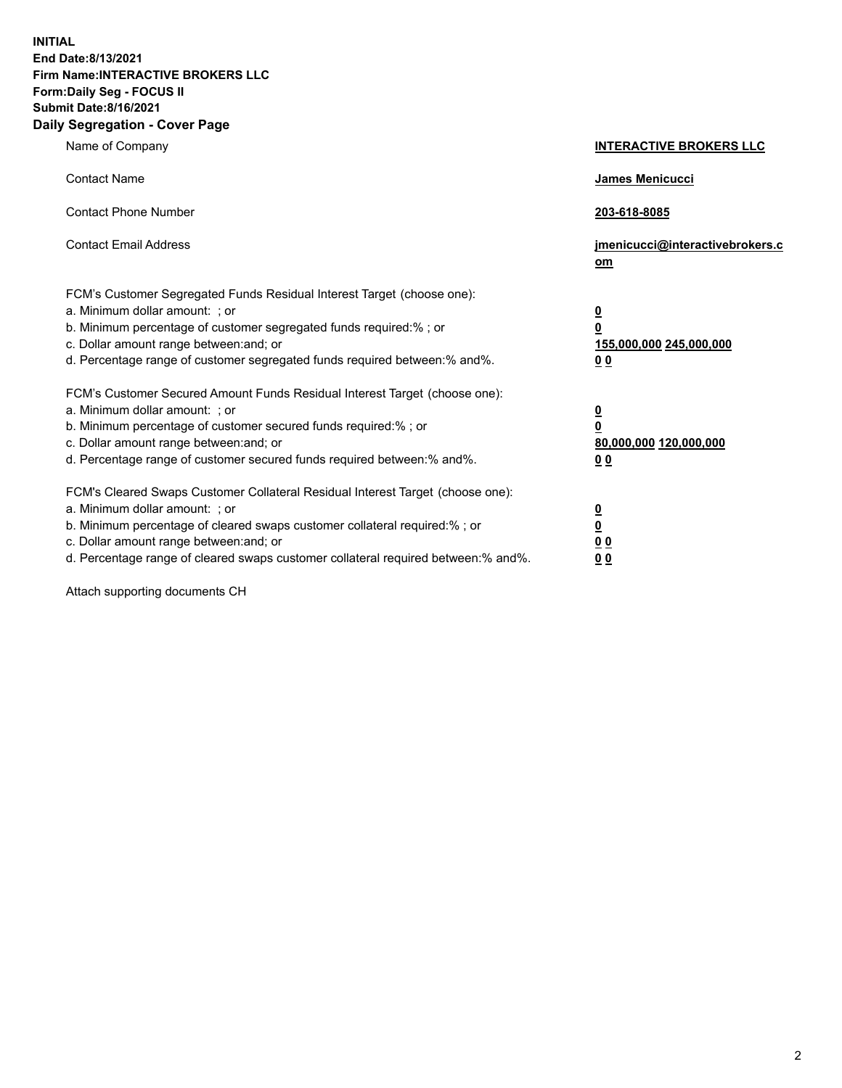**INITIAL End Date:8/13/2021 Firm Name:INTERACTIVE BROKERS LLC Form:Daily Seg - FOCUS II Submit Date:8/16/2021 Daily Segregation - Cover Page**

| Name of Company                                                                                                                                                                                                                                                                                                               | <b>INTERACTIVE BROKERS LLC</b>                                                            |
|-------------------------------------------------------------------------------------------------------------------------------------------------------------------------------------------------------------------------------------------------------------------------------------------------------------------------------|-------------------------------------------------------------------------------------------|
| <b>Contact Name</b>                                                                                                                                                                                                                                                                                                           | James Menicucci                                                                           |
| <b>Contact Phone Number</b>                                                                                                                                                                                                                                                                                                   | 203-618-8085                                                                              |
| <b>Contact Email Address</b>                                                                                                                                                                                                                                                                                                  | jmenicucci@interactivebrokers.c<br><u>om</u>                                              |
| FCM's Customer Segregated Funds Residual Interest Target (choose one):<br>a. Minimum dollar amount: ; or<br>b. Minimum percentage of customer segregated funds required:% ; or<br>c. Dollar amount range between: and; or<br>d. Percentage range of customer segregated funds required between: % and %.                      | $\overline{\mathbf{0}}$<br>0<br>155,000,000 245,000,000<br>0 <sub>0</sub>                 |
| FCM's Customer Secured Amount Funds Residual Interest Target (choose one):<br>a. Minimum dollar amount: ; or<br>b. Minimum percentage of customer secured funds required:%; or<br>c. Dollar amount range between: and; or<br>d. Percentage range of customer secured funds required between:% and%.                           | <u>0</u><br>$\overline{\mathbf{0}}$<br>80,000,000 120,000,000<br>00                       |
| FCM's Cleared Swaps Customer Collateral Residual Interest Target (choose one):<br>a. Minimum dollar amount: ; or<br>b. Minimum percentage of cleared swaps customer collateral required:%; or<br>c. Dollar amount range between: and; or<br>d. Percentage range of cleared swaps customer collateral required between:% and%. | <u>0</u><br>$\underline{\mathbf{0}}$<br>$\underline{0}$ $\underline{0}$<br>0 <sub>0</sub> |

Attach supporting documents CH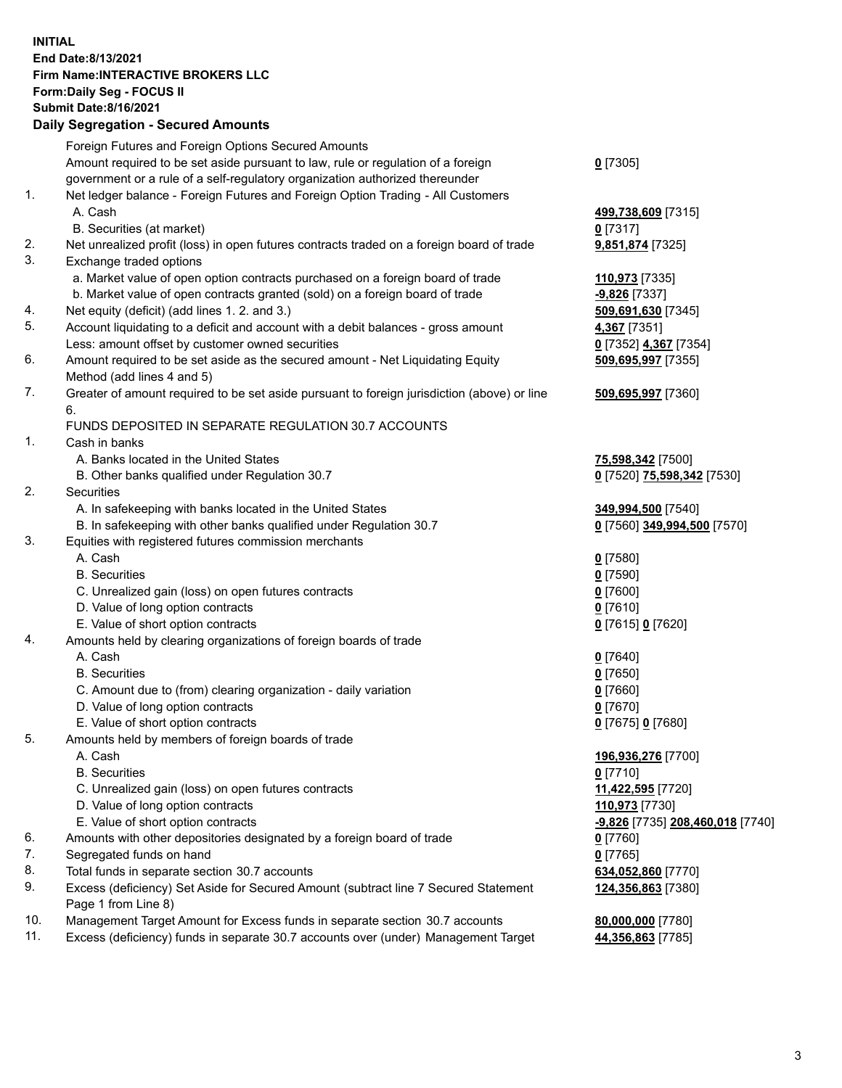## **INITIAL End Date:8/13/2021 Firm Name:INTERACTIVE BROKERS LLC Form:Daily Seg - FOCUS II Submit Date:8/16/2021 Daily Segregation - Secured Amounts**

|     | Dany Segregation - Secured Amounts                                                          |                                  |
|-----|---------------------------------------------------------------------------------------------|----------------------------------|
|     | Foreign Futures and Foreign Options Secured Amounts                                         |                                  |
|     | Amount required to be set aside pursuant to law, rule or regulation of a foreign            | $0$ [7305]                       |
|     | government or a rule of a self-regulatory organization authorized thereunder                |                                  |
| 1.  | Net ledger balance - Foreign Futures and Foreign Option Trading - All Customers             |                                  |
|     | A. Cash                                                                                     | 499,738,609 [7315]               |
|     | B. Securities (at market)                                                                   | $0$ [7317]                       |
| 2.  | Net unrealized profit (loss) in open futures contracts traded on a foreign board of trade   | 9,851,874 [7325]                 |
| 3.  | Exchange traded options                                                                     |                                  |
|     | a. Market value of open option contracts purchased on a foreign board of trade              | 110,973 [7335]                   |
|     | b. Market value of open contracts granted (sold) on a foreign board of trade                | $-9,826$ [7337]                  |
| 4.  | Net equity (deficit) (add lines 1. 2. and 3.)                                               | 509,691,630 [7345]               |
| 5.  | Account liquidating to a deficit and account with a debit balances - gross amount           | 4,367 [7351]                     |
|     | Less: amount offset by customer owned securities                                            | 0 [7352] 4,367 [7354]            |
| 6.  | Amount required to be set aside as the secured amount - Net Liquidating Equity              | 509,695,997 [7355]               |
|     | Method (add lines 4 and 5)                                                                  |                                  |
| 7.  | Greater of amount required to be set aside pursuant to foreign jurisdiction (above) or line | 509,695,997 [7360]               |
|     | 6.                                                                                          |                                  |
|     | FUNDS DEPOSITED IN SEPARATE REGULATION 30.7 ACCOUNTS                                        |                                  |
| 1.  | Cash in banks                                                                               |                                  |
|     | A. Banks located in the United States                                                       | 75,598,342 [7500]                |
|     | B. Other banks qualified under Regulation 30.7                                              | 0 [7520] 75,598,342 [7530]       |
| 2.  | Securities                                                                                  |                                  |
|     | A. In safekeeping with banks located in the United States                                   | 349,994,500 [7540]               |
|     | B. In safekeeping with other banks qualified under Regulation 30.7                          | 0 [7560] 349,994,500 [7570]      |
| 3.  | Equities with registered futures commission merchants                                       |                                  |
|     | A. Cash                                                                                     | $0$ [7580]                       |
|     | <b>B.</b> Securities                                                                        | $0$ [7590]                       |
|     | C. Unrealized gain (loss) on open futures contracts                                         | $0$ [7600]                       |
|     | D. Value of long option contracts                                                           | $0$ [7610]                       |
|     | E. Value of short option contracts                                                          | 0 [7615] 0 [7620]                |
| 4.  | Amounts held by clearing organizations of foreign boards of trade                           |                                  |
|     | A. Cash                                                                                     | $0$ [7640]                       |
|     | <b>B.</b> Securities                                                                        | $0$ [7650]                       |
|     | C. Amount due to (from) clearing organization - daily variation                             | $0$ [7660]                       |
|     | D. Value of long option contracts                                                           | $0$ [7670]                       |
| 5.  | E. Value of short option contracts<br>Amounts held by members of foreign boards of trade    | 0 [7675] 0 [7680]                |
|     | A. Cash                                                                                     | 196,936,276 [7700]               |
|     | <b>B.</b> Securities                                                                        | $0$ [7710]                       |
|     | C. Unrealized gain (loss) on open futures contracts                                         | 11,422,595 [7720]                |
|     | D. Value of long option contracts                                                           | 110,973 [7730]                   |
|     | E. Value of short option contracts                                                          | -9,826 [7735] 208,460,018 [7740] |
| 6.  | Amounts with other depositories designated by a foreign board of trade                      | $0$ [7760]                       |
| 7.  | Segregated funds on hand                                                                    | $0$ [7765]                       |
| 8.  | Total funds in separate section 30.7 accounts                                               | 634,052,860 [7770]               |
| 9.  | Excess (deficiency) Set Aside for Secured Amount (subtract line 7 Secured Statement         | 124,356,863 [7380]               |
|     | Page 1 from Line 8)                                                                         |                                  |
| 10. | Management Target Amount for Excess funds in separate section 30.7 accounts                 | 80,000,000 [7780]                |
| 11. | Excess (deficiency) funds in separate 30.7 accounts over (under) Management Target          | 44,356,863 [7785]                |
|     |                                                                                             |                                  |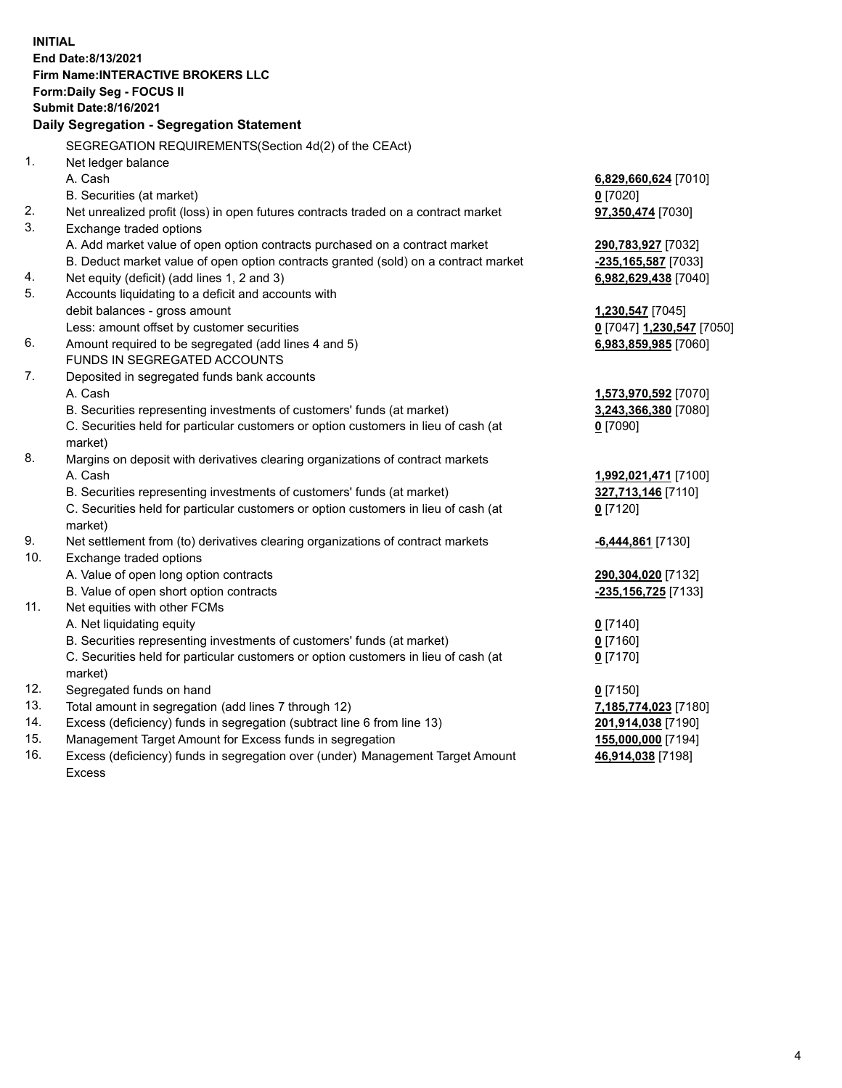**INITIAL End Date:8/13/2021 Firm Name:INTERACTIVE BROKERS LLC Form:Daily Seg - FOCUS II Submit Date:8/16/2021 Daily Segregation - Segregation Statement** SEGREGATION REQUIREMENTS(Section 4d(2) of the CEAct) 1. Net ledger balance A. Cash **6,829,660,624** [7010] B. Securities (at market) **0** [7020] 2. Net unrealized profit (loss) in open futures contracts traded on a contract market **97,350,474** [7030] 3. Exchange traded options A. Add market value of open option contracts purchased on a contract market **290,783,927** [7032] B. Deduct market value of open option contracts granted (sold) on a contract market **-235,165,587** [7033] 4. Net equity (deficit) (add lines 1, 2 and 3) **6,982,629,438** [7040] 5. Accounts liquidating to a deficit and accounts with debit balances - gross amount **1,230,547** [7045] Less: amount offset by customer securities **0** [7047] **1,230,547** [7050] 6. Amount required to be segregated (add lines 4 and 5) **6,983,859,985** [7060] FUNDS IN SEGREGATED ACCOUNTS 7. Deposited in segregated funds bank accounts A. Cash **1,573,970,592** [7070] B. Securities representing investments of customers' funds (at market) **3,243,366,380** [7080] C. Securities held for particular customers or option customers in lieu of cash (at market) **0** [7090] 8. Margins on deposit with derivatives clearing organizations of contract markets A. Cash **1,992,021,471** [7100] B. Securities representing investments of customers' funds (at market) **327,713,146** [7110] C. Securities held for particular customers or option customers in lieu of cash (at market) **0** [7120] 9. Net settlement from (to) derivatives clearing organizations of contract markets **-6,444,861** [7130] 10. Exchange traded options A. Value of open long option contracts **290,304,020** [7132] B. Value of open short option contracts **-235,156,725** [7133] 11. Net equities with other FCMs A. Net liquidating equity **0** [7140] B. Securities representing investments of customers' funds (at market) **0** [7160] C. Securities held for particular customers or option customers in lieu of cash (at market) **0** [7170] 12. Segregated funds on hand **0** [7150] 13. Total amount in segregation (add lines 7 through 12) **7,185,774,023** [7180] 14. Excess (deficiency) funds in segregation (subtract line 6 from line 13) **201,914,038** [7190] 15. Management Target Amount for Excess funds in segregation **155,000,000** [7194]

16. Excess (deficiency) funds in segregation over (under) Management Target Amount Excess

**46,914,038** [7198]